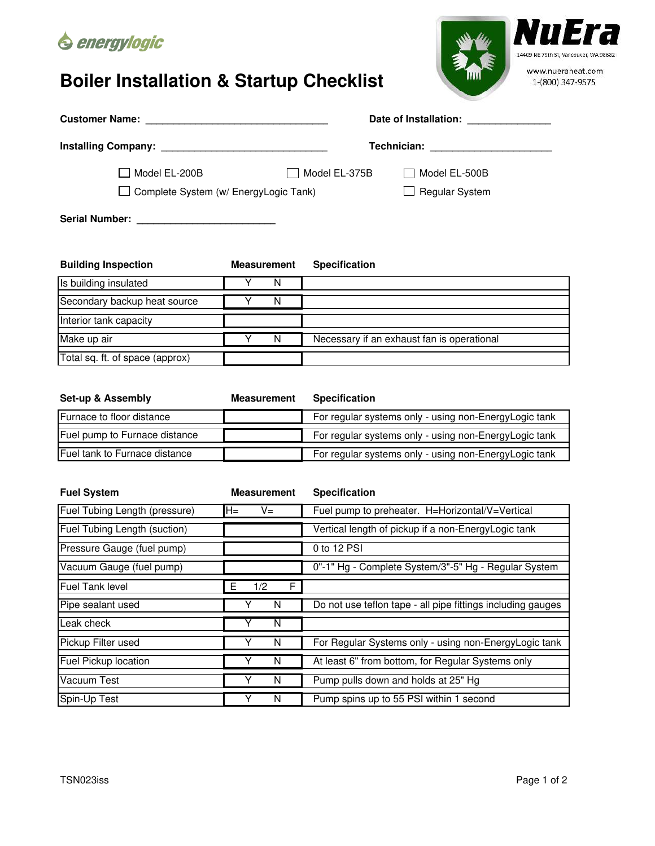

## **Boiler Installation & Startup Checklist**



| Total sq. ft. of space (approx) |                    |                      |  |
|---------------------------------|--------------------|----------------------|--|
|                                 |                    |                      |  |
| <b>Set-up &amp; Assembly</b>    | <b>Measurement</b> | <b>Specification</b> |  |

Make up air **Wake is a structure of the U.S. A. S. A. S. A. S. A. S. A. S. A. S. A. S. A. S. A. S. A. S. A. S. A. S. A. S. A. S. A. S. A. S. A. S. A. S. A. S. A. S. A. S. A. S. A. S. A. S. A. S. A. S. A. S. A. S. A. S. A.** 

| Furnace to floor distance     | For regular systems only - using non-EnergyLogic tank |
|-------------------------------|-------------------------------------------------------|
|                               |                                                       |
| Fuel pump to Furnace distance | For regular systems only - using non-EnergyLogic tank |
|                               |                                                       |
| Fuel tank to Furnace distance | For regular systems only - using non-EnergyLogic tank |
|                               |                                                       |

| <b>Fuel System</b>            | <b>Measurement</b> | <b>Specification</b>                                        |  |
|-------------------------------|--------------------|-------------------------------------------------------------|--|
| Fuel Tubing Length (pressure) | $H =$<br>V=        | Fuel pump to preheater. H=Horizontal/V=Vertical             |  |
| Fuel Tubing Length (suction)  |                    | Vertical length of pickup if a non-EnergyLogic tank         |  |
| Pressure Gauge (fuel pump)    |                    | 0 to 12 PSI                                                 |  |
| Vacuum Gauge (fuel pump)      |                    | 0"-1" Hg - Complete System/3"-5" Hg - Regular System        |  |
| <b>Fuel Tank level</b>        | F<br>Е<br>1/2      |                                                             |  |
| Pipe sealant used             | N                  | Do not use teflon tape - all pipe fittings including gauges |  |
| Leak check                    | v<br>N             |                                                             |  |
| Pickup Filter used            | Y<br>N             | For Regular Systems only - using non-EnergyLogic tank       |  |
| Fuel Pickup location          | Y<br>N             | At least 6" from bottom, for Regular Systems only           |  |
| Vacuum Test                   | v<br>N             | Pump pulls down and holds at 25" Hg                         |  |
| Spin-Up Test                  | Υ<br>N             | Pump spins up to 55 PSI within 1 second                     |  |